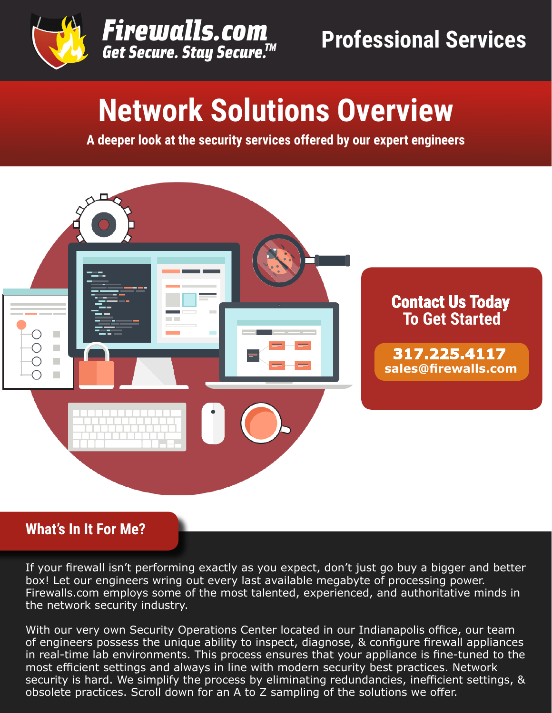



# **Network Solutions Overview**

**A deeper look at the security services offered by our expert engineers**



### **What's In It For Me?**

If your firewall isn't performing exactly as you expect, don't just go buy a bigger and better box! Let our engineers wring out every last available megabyte of processing power. Firewalls.com employs some of the most talented, experienced, and authoritative minds in the network security industry.

With our very own Security Operations Center located in our Indianapolis office, our team of engineers possess the unique ability to inspect, diagnose, & configure firewall appliances in real-time lab environments. This process ensures that your appliance is fine-tuned to the most efficient settings and always in line with modern security best practices. Network security is hard. We simplify the process by eliminating redundancies, inefficient settings, & obsolete practices. Scroll down for an A to Z sampling of the solutions we offer.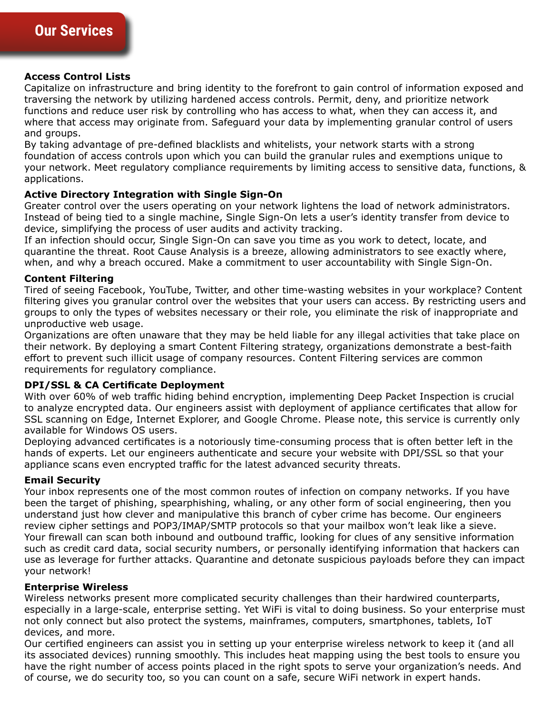#### **Access Control Lists**

Capitalize on infrastructure and bring identity to the forefront to gain control of information exposed and traversing the network by utilizing hardened access controls. Permit, deny, and prioritize network functions and reduce user risk by controlling who has access to what, when they can access it, and where that access may originate from. Safeguard your data by implementing granular control of users and groups.

By taking advantage of pre-defined blacklists and whitelists, your network starts with a strong foundation of access controls upon which you can build the granular rules and exemptions unique to your network. Meet regulatory compliance requirements by limiting access to sensitive data, functions, & applications.

#### **Active Directory Integration with Single Sign-On**

Greater control over the users operating on your network lightens the load of network administrators. Instead of being tied to a single machine, Single Sign-On lets a user's identity transfer from device to device, simplifying the process of user audits and activity tracking.

If an infection should occur, Single Sign-On can save you time as you work to detect, locate, and quarantine the threat. Root Cause Analysis is a breeze, allowing administrators to see exactly where, when, and why a breach occured. Make a commitment to user accountability with Single Sign-On.

#### **Content Filtering**

Tired of seeing Facebook, YouTube, Twitter, and other time-wasting websites in your workplace? Content filtering gives you granular control over the websites that your users can access. By restricting users and groups to only the types of websites necessary or their role, you eliminate the risk of inappropriate and unproductive web usage.

Organizations are often unaware that they may be held liable for any illegal activities that take place on their network. By deploying a smart Content Filtering strategy, organizations demonstrate a best-faith effort to prevent such illicit usage of company resources. Content Filtering services are common requirements for regulatory compliance.

#### **DPI/SSL & CA Certificate Deployment**

With over 60% of web traffic hiding behind encryption, implementing Deep Packet Inspection is crucial to analyze encrypted data. Our engineers assist with deployment of appliance certificates that allow for SSL scanning on Edge, Internet Explorer, and Google Chrome. Please note, this service is currently only available for Windows OS users.

Deploying advanced certificates is a notoriously time-consuming process that is often better left in the hands of experts. Let our engineers authenticate and secure your website with DPI/SSL so that your appliance scans even encrypted traffic for the latest advanced security threats.

### **Email Security**

**Features of Managed Services** use as leverage for further attacks. Quarantine and detonate suspicious payloads before they can impact Your inbox represents one of the most common routes of infection on company networks. If you have been the target of phishing, spearphishing, whaling, or any other form of social engineering, then you understand just how clever and manipulative this branch of cyber crime has become. Our engineers review cipher settings and POP3/IMAP/SMTP protocols so that your mailbox won't leak like a sieve. Your firewall can scan both inbound and outbound traffic, looking for clues of any sensitive information such as credit card data, social security numbers, or personally identifying information that hackers can your network!

### **Enterprise Wireless**

Wireless networks present more complicated security challenges than their hardwired counterparts, especially in a large-scale, enterprise setting. Yet WiFi is vital to doing business. So your enterprise must not only connect but also protect the systems, mainframes, computers, smartphones, tablets, IoT devices, and more.

Our certified engineers can assist you in setting up your enterprise wireless network to keep it (and all its associated devices) running smoothly. This includes heat mapping using the best tools to ensure you have the right number of access points placed in the right spots to serve your organization's needs. And of course, we do security too, so you can count on a safe, secure WiFi network in expert hands.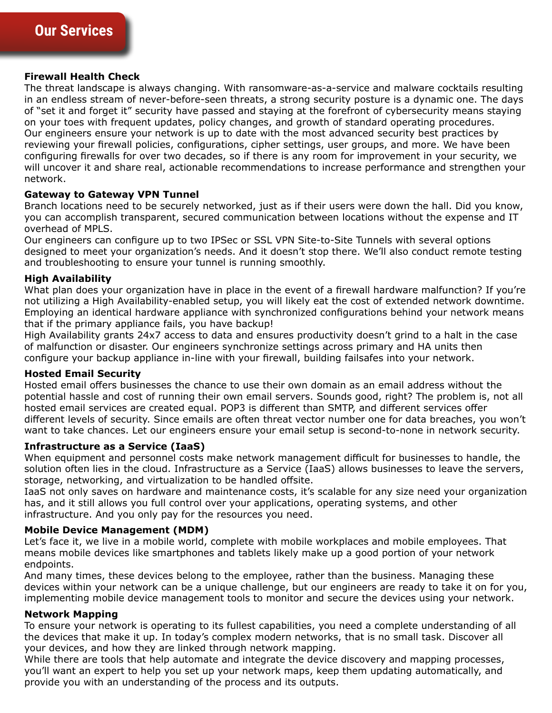#### **Firewall Health Check**

The threat landscape is always changing. With ransomware-as-a-service and malware cocktails resulting in an endless stream of never-before-seen threats, a strong security posture is a dynamic one. The days of "set it and forget it" security have passed and staying at the forefront of cybersecurity means staying on your toes with frequent updates, policy changes, and growth of standard operating procedures. Our engineers ensure your network is up to date with the most advanced security best practices by reviewing your firewall policies, configurations, cipher settings, user groups, and more. We have been configuring firewalls for over two decades, so if there is any room for improvement in your security, we will uncover it and share real, actionable recommendations to increase performance and strengthen your network.

#### **Gateway to Gateway VPN Tunnel**

Branch locations need to be securely networked, just as if their users were down the hall. Did you know, you can accomplish transparent, secured communication between locations without the expense and IT overhead of MPLS.

Our engineers can configure up to two IPSec or SSL VPN Site-to-Site Tunnels with several options designed to meet your organization's needs. And it doesn't stop there. We'll also conduct remote testing and troubleshooting to ensure your tunnel is running smoothly.

#### **High Availability**

What plan does your organization have in place in the event of a firewall hardware malfunction? If you're not utilizing a High Availability-enabled setup, you will likely eat the cost of extended network downtime. Employing an identical hardware appliance with synchronized configurations behind your network means that if the primary appliance fails, you have backup!

High Availability grants 24x7 access to data and ensures productivity doesn't grind to a halt in the case of malfunction or disaster. Our engineers synchronize settings across primary and HA units then configure your backup appliance in-line with your firewall, building failsafes into your network.

#### **Hosted Email Security**

Hosted email offers businesses the chance to use their own domain as an email address without the potential hassle and cost of running their own email servers. Sounds good, right? The problem is, not all hosted email services are created equal. POP3 is different than SMTP, and different services offer different levels of security. Since emails are often threat vector number one for data breaches, you won't want to take chances. Let our engineers ensure your email setup is second-to-none in network security.

#### **Infrastructure as a Service (IaaS)**

When equipment and personnel costs make network management difficult for businesses to handle, the solution often lies in the cloud. Infrastructure as a Service (IaaS) allows businesses to leave the servers, storage, networking, and virtualization to be handled offsite.

IaaS not only saves on hardware and maintenance costs, it's scalable for any size need your organization has, and it still allows you full control over your applications, operating systems, and other infrastructure. And you only pay for the resources you need.

#### **Mobile Device Management (MDM)**

means mobile devices like smartphones and tablets likely make up a good portion of your network<br>endpoints Let's face it, we live in a mobile world, complete with mobile workplaces and mobile employees. That endpoints.

And many times, these devices belong to the employee, rather than the business. Managing these devices within your network can be a unique challenge, but our engineers are ready to take it on for you, implementing mobile device management tools to monitor and secure the devices using your network.

#### **Network Mapping**

To ensure your network is operating to its fullest capabilities, you need a complete understanding of all the devices that make it up. In today's complex modern networks, that is no small task. Discover all your devices, and how they are linked through network mapping.

While there are tools that help automate and integrate the device discovery and mapping processes, you'll want an expert to help you set up your network maps, keep them updating automatically, and provide you with an understanding of the process and its outputs.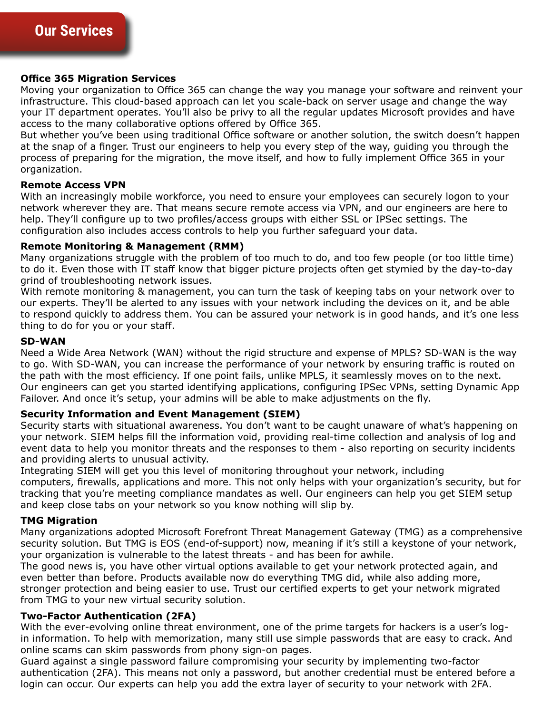#### **Office 365 Migration Services**

Moving your organization to Office 365 can change the way you manage your software and reinvent your infrastructure. This cloud-based approach can let you scale-back on server usage and change the way your IT department operates. You'll also be privy to all the regular updates Microsoft provides and have access to the many collaborative options offered by Office 365.

But whether you've been using traditional Office software or another solution, the switch doesn't happen at the snap of a finger. Trust our engineers to help you every step of the way, guiding you through the process of preparing for the migration, the move itself, and how to fully implement Office 365 in your organization.

#### **Remote Access VPN**

With an increasingly mobile workforce, you need to ensure your employees can securely logon to your network wherever they are. That means secure remote access via VPN, and our engineers are here to help. They'll configure up to two profiles/access groups with either SSL or IPSec settings. The configuration also includes access controls to help you further safeguard your data.

#### **Remote Monitoring & Management (RMM)**

Many organizations struggle with the problem of too much to do, and too few people (or too little time) to do it. Even those with IT staff know that bigger picture projects often get stymied by the day-to-day grind of troubleshooting network issues.

With remote monitoring & management, you can turn the task of keeping tabs on your network over to our experts. They'll be alerted to any issues with your network including the devices on it, and be able to respond quickly to address them. You can be assured your network is in good hands, and it's one less thing to do for you or your staff.

#### **SD-WAN**

Need a Wide Area Network (WAN) without the rigid structure and expense of MPLS? SD-WAN is the way to go. With SD-WAN, you can increase the performance of your network by ensuring traffic is routed on the path with the most efficiency. If one point fails, unlike MPLS, it seamlessly moves on to the next. Our engineers can get you started identifying applications, configuring IPSec VPNs, setting Dynamic App Failover. And once it's setup, your admins will be able to make adjustments on the fly.

#### **Security Information and Event Management (SIEM)**

Security starts with situational awareness. You don't want to be caught unaware of what's happening on your network. SIEM helps fill the information void, providing real-time collection and analysis of log and event data to help you monitor threats and the responses to them - also reporting on security incidents and providing alerts to unusual activity.

Integrating SIEM will get you this level of monitoring throughout your network, including computers, firewalls, applications and more. This not only helps with your organization's security, but for tracking that you're meeting compliance mandates as well. Our engineers can help you get SIEM setup and keep close tabs on your network so you know nothing will slip by.

#### **TMG Migration**

your organization is vulnerable to the latest threats - and has been for awhile.<br>The good news is, you have other virtual ontions available to get your network Many organizations adopted Microsoft Forefront Threat Management Gateway (TMG) as a comprehensive security solution. But TMG is EOS (end-of-support) now, meaning if it's still a keystone of your network,

The good news is, you have other virtual options available to get your network protected again, and even better than before. Products available now do everything TMG did, while also adding more, stronger protection and being easier to use. Trust our certified experts to get your network migrated from TMG to your new virtual security solution.

#### **Two-Factor Authentication (2FA)**

With the ever-evolving online threat environment, one of the prime targets for hackers is a user's login information. To help with memorization, many still use simple passwords that are easy to crack. And online scams can skim passwords from phony sign-on pages.

Guard against a single password failure compromising your security by implementing two-factor authentication (2FA). This means not only a password, but another credential must be entered before a login can occur. Our experts can help you add the extra layer of security to your network with 2FA.